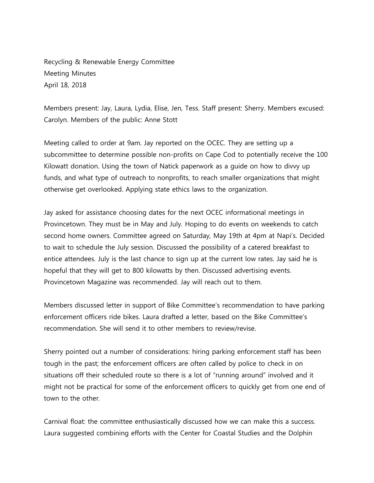Recycling & Renewable Energy Committee Meeting Minutes April 18, 2018

Members present: Jay, Laura, Lydia, Elise, Jen, Tess. Staff present: Sherry. Members excused: Carolyn. Members of the public: Anne Stott

Meeting called to order at 9am. Jay reported on the OCEC. They are setting up a subcommittee to determine possible non-profits on Cape Cod to potentially receive the 100 Kilowatt donation. Using the town of Natick paperwork as a guide on how to divvy up funds, and what type of outreach to nonprofits, to reach smaller organizations that might otherwise get overlooked. Applying state ethics laws to the organization.

Jay asked for assistance choosing dates for the next OCEC informational meetings in Provincetown. They must be in May and July. Hoping to do events on weekends to catch second home owners. Committee agreed on Saturday, May 19th at 4pm at Napi's. Decided to wait to schedule the July session. Discussed the possibility of a catered breakfast to entice attendees. July is the last chance to sign up at the current low rates. Jay said he is hopeful that they will get to 800 kilowatts by then. Discussed advertising events. Provincetown Magazine was recommended. Jay will reach out to them.

Members discussed letter in support of Bike Committee's recommendation to have parking enforcement officers ride bikes. Laura drafted a letter, based on the Bike Committee's recommendation. She will send it to other members to review/revise.

Sherry pointed out a number of considerations: hiring parking enforcement staff has been tough in the past; the enforcement officers are often called by police to check in on situations off their scheduled route so there is a lot of "running around" involved and it might not be practical for some of the enforcement officers to quickly get from one end of town to the other.

Carnival float: the committee enthusiastically discussed how we can make this a success. Laura suggested combining efforts with the Center for Coastal Studies and the Dolphin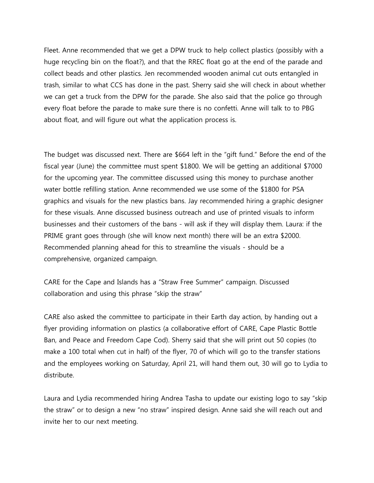Fleet. Anne recommended that we get a DPW truck to help collect plastics (possibly with a huge recycling bin on the float?), and that the RREC float go at the end of the parade and collect beads and other plastics. Jen recommended wooden animal cut outs entangled in trash, similar to what CCS has done in the past. Sherry said she will check in about whether we can get a truck from the DPW for the parade. She also said that the police go through every float before the parade to make sure there is no confetti. Anne will talk to to PBG about float, and will figure out what the application process is.

The budget was discussed next. There are \$664 left in the "gift fund." Before the end of the fiscal year (June) the committee must spent \$1800. We will be getting an additional \$7000 for the upcoming year. The committee discussed using this money to purchase another water bottle refilling station. Anne recommended we use some of the \$1800 for PSA graphics and visuals for the new plastics bans. Jay recommended hiring a graphic designer for these visuals. Anne discussed business outreach and use of printed visuals to inform businesses and their customers of the bans - will ask if they will display them. Laura: if the PRIME grant goes through (she will know next month) there will be an extra \$2000. Recommended planning ahead for this to streamline the visuals - should be a comprehensive, organized campaign.

CARE for the Cape and Islands has a "Straw Free Summer" campaign. Discussed collaboration and using this phrase "skip the straw"

CARE also asked the committee to participate in their Earth day action, by handing out a flyer providing information on plastics (a collaborative effort of CARE, Cape Plastic Bottle Ban, and Peace and Freedom Cape Cod). Sherry said that she will print out 50 copies (to make a 100 total when cut in half) of the flyer, 70 of which will go to the transfer stations and the employees working on Saturday, April 21, will hand them out, 30 will go to Lydia to distribute.

Laura and Lydia recommended hiring Andrea Tasha to update our existing logo to say "skip the straw" or to design a new "no straw" inspired design. Anne said she will reach out and invite her to our next meeting.